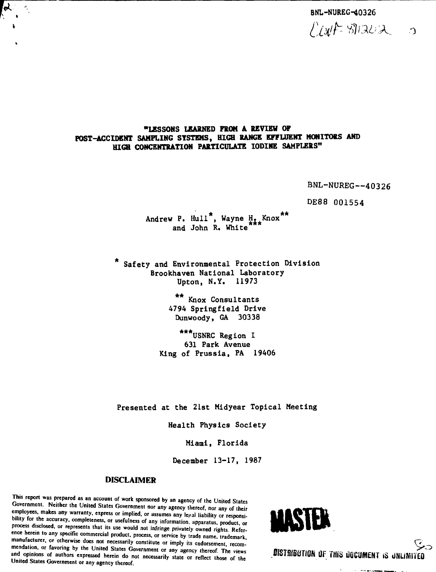**BNL-NUREG-40326**

Proof STRUA 2

# **"LESSONS LEARNED FROM A REVIEW OF POST-ACCIDENT SAMPLING SYSTEMS, HIGH RANGE EFFLUENT MONITORS AND HIGH CONCENTRATION PARTICULATE IODINE SAMPLERS"**

BNL-NUREG---40326

DE88 001554

Andrew P. Hull<sup>\*</sup>, Wayne H, Knox<sup>\*\*</sup> and John R. White

Safety and Environmental Protection Division Brookhaven National Laboratory Upton, N.Y. 11973

> \*\* Knox Consultants 4794 Springfield Drive Dunwoody, GA 30338

\*\*\*USNRC Region I 631 Park Avenue King of Prussia, PA 19406

Presented at the 21st Midyear Topical Meeting

Health Physics Society

Miami, Florida

December 13-17, 1987

# **DISCLAIMER**

 $\boldsymbol{\mu}$ 

**This report was prepared as an account of work sponsored by an agency of the United States Government. Neither the United States Government nor any agency thereof, nor any of their** employees, makes any warranty, express or implied, or assumes any legal liability or responsi**bility for the accuracy, completeness, or usefulness of any information, apparatus, product, or process disclosed, or represents that its use would not infringe privately owned rights. Refer**ence herein to any specific commercial product, process, or service by trade name, trademark,  $m$ anufacturer, or otherwise does not necessarily constitute or imply its endorsement, recommendation, or favoring by the United States Government or any agency thereof. The views<br>and opinions of authors expressed herein do not necessarily state or reflect those of the<br>**first of the CONCUMENT is UNLIMITED** and opinions of authors expressed herein do not necessarily state or reflect those of the **United Stales Government or any agency thereof.**

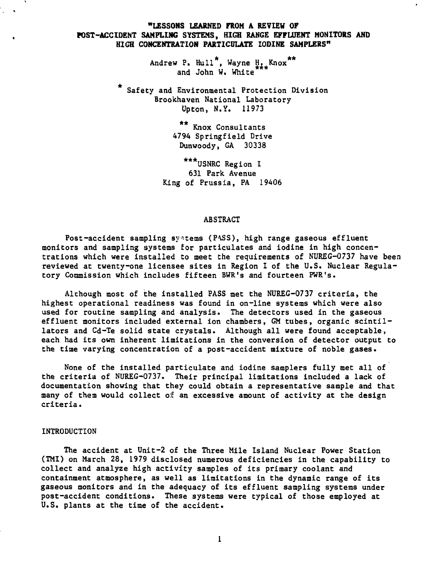# **"LESSONS LEARNED FROM A REVIEW OF POST-ACCIDENT SAMPLING SYSTEMS, HIGH RANGE EFFLUENT MONITORS AND HIGH CONCENTRATION PARTICULATE IODINE SAMPLERS"**

Andrew P. Hull<sup>\*</sup>, Wayne  $H_{LL}$ Knox<sup>\*\*</sup> and John W. White

Safety and Environmental Protection Division Brookhaven National Laboratory Upton, N.Y. 11973

> Knox Consultants 4794 Springfield Drive Dunwoody, GA 30338

\*\*\*USNRC Region I 631 Park Avenue King of Prussia, PA 19406

## ABSTRACT

Post-accident sampling systems (PASS), high range gaseous effluent monitors and sampling systems for particulates and iodine in high concentrations which were installed to meet the requirements of NUREG-0737 have been reviewed at twenty-one licensee sites in Region I of the U.S. Nuclear Regulatory Commission which includes fifteen BWR's and fourteen PWR's.

Although most of the installed PASS met the NUREG-0737 criteria, the highest operational readiness was found in on-line systems which were also used for routine sampling and analysis. The detectors used in the gaseous effluent monitors included external ion chambers, GM tubes, organic scintillators and Cd-Te solid state crystals. Although all were found acceptable, each had its own inherent limitations in the conversion of detector output to the time varying concentration of a post-accident mixture of noble gases.

None of the installed particulate and iodine samplers fully met all of the criteria of NUREG-0737. Their principal limitations included a lack of documentation showing that they could obtain a representative sample and that many of them would collect of an excessive amount of activity at the design criteria.

#### INTRODUCTION

The accident at Unit-2 of the Three Mile Island Nuclear Power Station (TMI) on March 28, 1979 disclosed numerous deficiencies in the capability to collect and analyze high activity samples of its primary coolant and containment atmosphere, as well as limitations in the dynamic range of its gaseous monitors and in the adequacy of its effluent sampling systems under post-accident conditions. These systems were typical of those employed at U.S. plants at the time of the accident.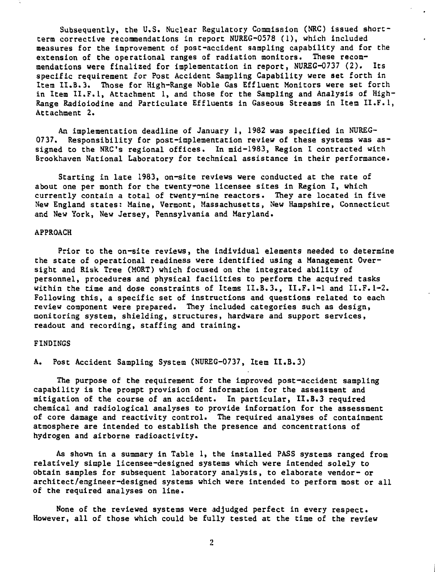**Subsequently, the U.S. Nuclear Regulatory Commission (NRC) issued shortterm corrective recommendations in report NUREG-0578 (1), which included measures for the improvement of post-accident sampling capability and for the extension of the operational ranges of radiation monitors. These recommendations were finalized for implementation in report, NUREG-0737 (2). Its specific requirement for Post Accident Sampling Capability were set forth in Item II.B. 3. Those for High-Range Noble Gas Effluent Monitors were set forth** in Item II.F.1, Attachment 1, and those for the Sampling and Analysis of High-**Range Radioiodine and Particulate Effluents in Gaseous Streams in Item II.F.I, Attachment 2.**

**An implementation deadline of January 1, 1982 was specified in NUREG-0737. Responsibility for post-implementation review of these systems was assigned to the NRC's regional offices. In mid-1983, Region I contracted with Brookhaven National Laboratory for technical assistance in their performance.**

**Starting in late 1983, on-site reviews were conducted at the rate of about one per month for the twenty-one licensee sites in Region I, which currently contain a total of twenty-nine reactors. They are located in five New England states: Maine, Vermont, Massachusetts, New Hampshire, Connecticut and New York, New Jersey, Pennsylvania and Maryland.**

#### **APPROACH**

**Prior to the on-site reviews, the individual elements needed to determine the state of operational readiness were identified using a Management Oversight and Risk Tree (MORT) which focused on the integrated ability of personnel, procedures and physical facilities to perform the acquired tasks within the time and dose constraints of Items II.B.3., II.F.1-1 and II.F.1-2. Following this, a specific set of instructions and questions related to each review component were prepared. They included categories such as design, monitoring system, shielding, structures, hardware and support services, readout and recording, staffing and training.**

### **FINDINGS**

**A. Post Accident Sampling System (NUREG-0737, Item II.B.3)**

**The purpose of the requirement for the improved post-accident sampling capability is the prompt provision of information for the assessment and mitigation of the course of an accident. In particular, II.B.3 required chemical and radiological analyses to provide information for the assessment of core damage and reactivity control. The required analyses of containment atmosphere are intended to establish the presence and concentrations of hydrogen and airborne radioactivity.**

**As shown in a summary in Table 1, the installed PASS systems ranged from relatively simple licensee-designed systems which were intended solely to obtain samples for subsequent laboratory analysis, to elaborate vendor- or architect/engineer-designed systems which were intended to perform most or all of the required analyses on line.**

**None of the reviewed systems were adjudged perfect in every respect. However, all of those which could be fully tested at the time of the review**

 $\mathbf{2}$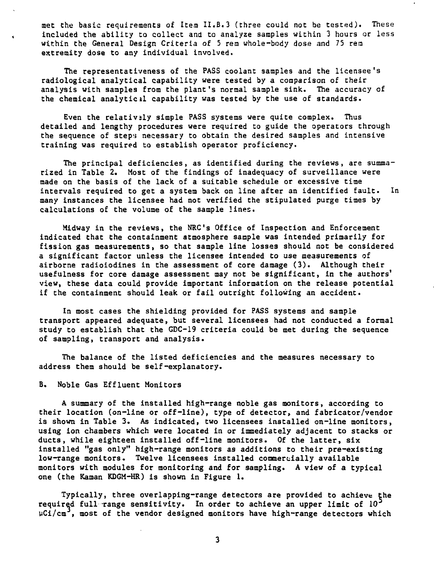**met the basic requirements of Item II.B.3 (three could not be tested). These included the ability to collect and to analyze samples within 3 hours or less** within the General Design Criteria of 5 rem whole-body dose and 75 rem **extremity dose to any individual involved.**

**The representativeness of the PASS coolant samples and the licensee's radiological analytical capability were tested by a comparison of their analysis with samples from the plant's normal sample sink. The accuracy of the chemical analytical capability was tested by the use of standards.**

**Even the relativaly simple PASS systems were quite complex. Thus detailed and lengthy procedures were required to guide the operators through the sequence of steps necessary to obtain the desired samples and intensive training was required to establish operator proficiency.**

**The principal deficiencies, as identified during the reviews, are summarized in Table 2. Most of the findings of inadequacy of surveillance were made on the basis of the lack of a suitable schedule or excessive time intervals required to get a system back on line after an identified fault. In many instances the licensee had not verified the stipulated purge times by calculations of the volume of the sample lines.**

**Midway in the reviews, the NRC's Office of Inspection and Enforcement indicated that the containment atmosphere sample was intended primarily for fission gas measurements, so that sample line losses should not be considered a significant factor unless the licensee intended to use measurements of airborne radioiodines in the assessment of core damage (3). Although their usefulness for core damage assessment may not be significant, in the authors<sup>1</sup> view, these data could provide important information on the release potential if the containment should leak or fail outright following an accident.**

**In most cases the shielding provided for PASS systems and sample transport appeared adequate, but several licensees had not conducted a formal study to establish that the GDC-19 criteria could be met during the sequence of sampling, transport and analysis.**

**The balance of the listed deficiencies and the measures necessary to address them should be self-explanatory.**

## **B. Noble Gas Effluent Monitors**

**A summary of the installed high-range noble gas monitors, according to their location (on-line or off-line), type of detector, and fabricator/vendor is shown in Table 3. As indicated, two licensees installed on-line monitors, using ion chambers which were located in or immediately adjacent to stacks or ducts, while eighteen installed off-line monitors. Of the latter, six installed "gas only" high-range monitors as additions to their pre-existing low-range monitors. Twelve licensees installed commercially available monitors with modules for monitoring and for sampling. A view of a typical one (the Kaman KDGM-HR) is shown in Figure 1.**

**Typically, three overlapping-range detectors are provided to achieve the required full range sensitivity. In order to achieve an upper limit of 10 uCi/cm , most of the vendor designed monitors have high-range detectors which**

 $\overline{\mathbf{3}}$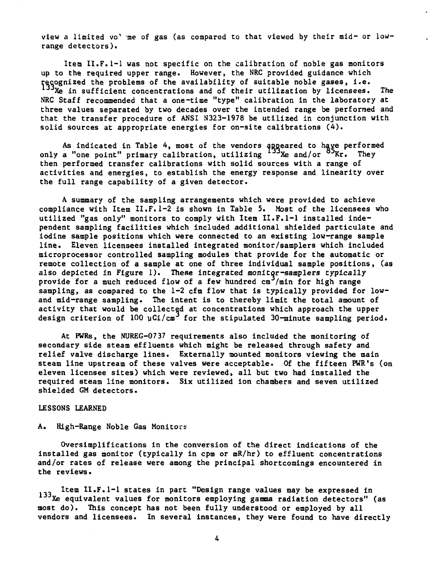view a limited vo' me of gas (as compared to that viewed by their mid- or low**range detectors).**

**Item II.F.1-1 was not specific on the calibration of noble gas monitors up to the required upper range. However, the NRC provided guidance which** recognized the problems of the availability of suitable noble gases, i.e. **<sup>133</sup>Xe in sufficient concentrations and of their utilization by licensees. The NRC Staff recommended that a one-time "type" calibration In the laboratory at three values separated by two decades over the intended range be performed and that the transfer procedure of ANSI N323-1978 be utilized in conjunction with solid sources at appropriate energies for on-site calibrations (4).**

As indicated in Table 4, most of the vendors appeared to have performed only a "one point" primary calibration, utilizing <sup>133</sup>Xe and/or <sup>83</sup>Kr. They **then performed transfer calibrations with solid sources with a range of activities and energies, to establish the energy response and linearity over the full range capability of a given detector.**

**A summary of the sampling arrangements which were provided to achieve compliance with Item II.F.1-2 is shown in Table 5. Most of the licensees who utilized "gas only" monitors to comply with Item II.F.1-1 installed independent sampling facilities which included additional shielded particulate and iodine sample positions which were connected to an existing low-range sample line. Eleven licensees installed integrated monitor/samplers which included microprocessor controlled sampling modules that provide for the automatic or remote collection of a sample at one of three individual sample positions, (as also depicted in Figure 1). These integrated monitor-samplers typically** provide for a much reduced flow of a few hundred cm<sup>3</sup>/min for high range **sampling, as compared to the 1-2 cfm flow that is typically provided for lowand mid-range sampling. The intent is to thereby limit the total amount of activity that would be collected at concentrations which approach the upper design criterion of 100 uCi/cm for the stipulated 30-minute sampling period.**

**At PWRs, the NUREG-0737 requirements also included the monitoring of secondary side steam effluents which might be released through safety and relief valve discharge lines. Externally mounted monitors viewing the main steam line upstream of these valves were acceptable. Of the fifteen PWR's (on eleven licensee sites) which were reviewed, all but two had installed the required steam line monitors. Six utilized ion chambers and seven utilized shielded GM detectors.**

#### **LESSONS LEARNED**

### **A. High-Range Noble Gas Monitors**

**Oversimplifications in the conversion of the direct indications of the installed gas monitor (typically in cpm or mR/hr) to effluent concentrations and/or rates of release were among the principal shortcomings encountered in the reviews.**

**Item II.F.1-1 states in part "Design range values may be expressed in Xe equivalent values for monitors employing gamma radiation detectors" (as most do). This concept has not been fully understood or employed by all vendors and licensees. In several instances, they were found to have directly**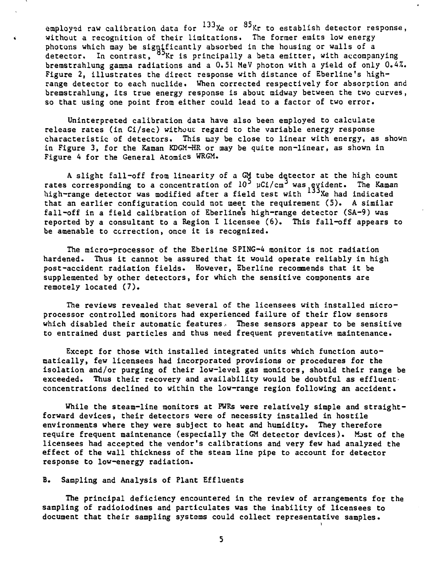**employed raw calibration data for JJXe or OJKr to establish detector response, without a recognition of their limitations. The former emits low energy photons which may be significantly absorbed in the housing or walls of a detector. In contrast, Kr is principally a beta emitter, with accompanying bremstrahlung gamma radiations and a 0.51 MeV photon with a yield of only 0.4X. Figure 2, illustrates the direct response with distance of Eberline's highrange detector to each nuclide. When corrected respectively for absorption and bremstrahlung, its true energy response is about midway between the two curves, so that using one point from either could lead to a factor of two error.**

**Uninterpreted calibration data have also been employed to calculate release rates (in Ci/sec) without regard to the variable energy response characteristic of detectors. This aay be close to linear with energy, as shown in Figure 3, for the Kaman KDGM-HR or may be quite non-linear, as shown in Figure 4 for the General Atomics WRGM.**

**A slight fall-off from linearity of a GM tube detector at the high count** rates corresponding to a concentration of  $10^5$   $\mu$ Ci/cm<sup>3</sup> was exident. The Kaman high-range detector was modified after a field test with <sup>133</sup>Xe had indicated **that an earlier configuration could not meet the requirement (5). A similar fall-off in a field calibration of Eberlines high-range detector (SA-9) was reported by a consultant to a Region I licensee (6). This fall-off appears to be amenable to correction, once it is recognized.**

**The micro-processor of the Eberline SPING-4 monitor is not radiation hardened. Thus it cannot be assured that it would operate reliably in high post-accident: radiation fields. However, Eberline recommends that it be supplemented by other detectors, for which the sensitive components are remotely located (7).**

**The reviews revealed that several of the licensees with installed microprocessor controlled monitors had experienced failure of their flow sensors which disabled their automatic features.. These sensors appear to be sensitive to entrained dust particles and thus need frequent preventative maintenance.**

**Except for those with installed integrated units which function automatically, few licensees had incorporated provisions or procedures for the isolation and/or purging of their low-level gas monitors, should their range be exceeded. Thus their recovery and availability would be doubtful as effluentconcentrations declined to within the low-range region following an accident.**

**While the steam-line monitors at PWRs were relatively simple and straightforward devices, their detectors were of necessity installed in hostile environments where they were subject to heat and humidity. They therefore** require frequent maintenance (especially the GM detector devices). Must of the **licensees had accepted the vendor's calibrations and very few had analyzed the effect of the wall thickness of the steam line pipe to account for detector response to low-energy radiation.**

**B. Sampling and Analysis of Plant Effluents**

**The principal deficiency encountered in the review of arrangements for the sampling of radioiodines and particulates was the inability of licensees to document that their sampling systems could collect representative samples.**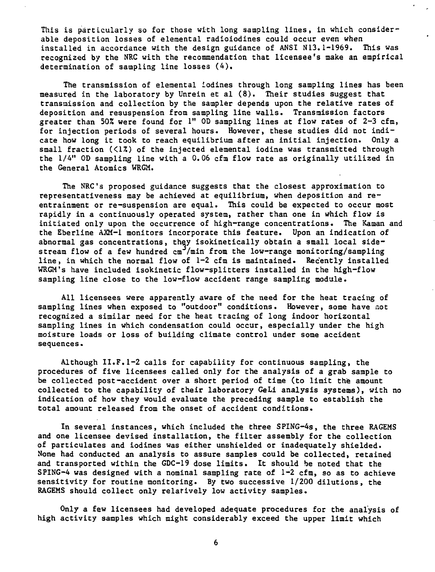**This is particularly so for chose with long sampling lines, in which considerable deposition losses of elemental radioiodines could occur even when installed in accordance with the design guidance of ANSI N13.1-1969. This was recognized by the NRC with the recommendation that licensee's make an empirical determination of sampling line losses (4).**

**The transmission of elemental iodines through long sampling lines has been measured in the laboratory by Unrein et al (8). Their studies suggest that transmission and collection by the sampler depends upon the relative rates of deposition and resuspension from sampling line walls. Transmission factors greater than 50% were found for 1" 0D sampling lines at flow rates of 2-3 cfm, for injection periods of several hours. However, these studies did not indicate how long it took to reach equilibrium after an initial injection. Only a small fraction (<1X) of the injected elemental iodine was transmitted through the 1/4" 0D sampling line with a 0.06 cfm flow rate as originally utilized in the General Atomics WRGM.**

**The NRC's proposed guidance suggests that the closest approximation to** representativeness may be achieved at equilibrium, when deposition and re**entrainment or re-suspension are equal. This could be expected to occur most rapidly in a continuously operated system, rather than one in which flow is initiated only upon the occurrence of high-range concentrations. The Kaman and the Eberline AXM-1 monitors incorporate this feature. Upon an indication of abnormal gas concentrations, they isokinetically obtain a small local side**stream flow of a few hundred cm<sup>3</sup>/min from the low-range monitoring/sampling **line, in which the normal flow of 1-2 cfm is maintained. Recently installed WRGM's have included isokinetic flow-splitters installed in the high-flow sampling line close to the low-flow accident range sampling module.**

**All licensees were apparently aware of the need for the heat tracing of sampling lines when exposed to "outdoor" conditions. However, some have not recognized a similar need for the heat tracing of long indoor horizontal sampling lines in which condensation could occur, especially under the high moisture loads or loss of building climate control under some accident sequences.**

**Although II.F.1-2 calls for capability for continuous sampling, the procedures of five licensees called only for the analysis of a grab sample to be collected post-accident over a short period of time (to limit the amount collected to the capability of their laboratory GeLi analysis systems), with no indication of how they would evaluate the preceding sample to establish the total amount released from the onset of accident conditions.**

**In several instances, which included the three SPING-4s, the three RAGEMS and one licensee devised installation, the filter assembly for the collection of particulates and iodines was either unshielded or inadequately shielded. None had conducted an analysis to assure samples could be collected, retained and transported within the GDC-19 dose limits. It should be noted that the SPING-4 was designed with a nominal sampling rate of 1-2 cfm, so as to achieve sensitivity for routine monitoring. By two successive 1/200 dilutions, the RAGEMS should collect only relatively low activity samples.**

**Only a few licensees had developed adequate procedures for the analysis of high activity samples which might considerably exceed the upper limit which**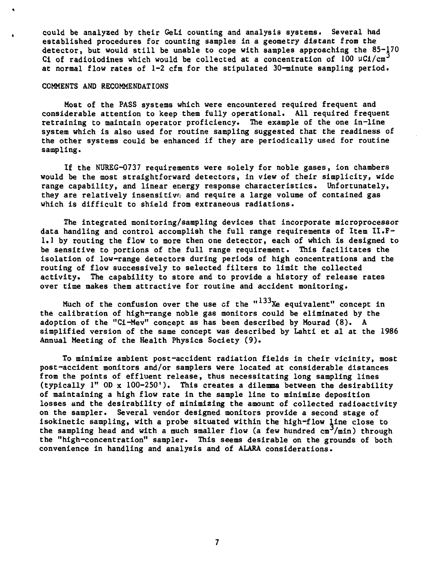**could be analyzed by their GeLi counting and analysis systems. Several had established procedures for counting samples in a geometry distant from the detector, but would still be unable to cope with samples approaching the 85-170 Ci of radioiodines which would be collected at a concentration of 100 pCi/cm at normal flow rates of 1-2 cfm for the stipulated 30-minute sampling period.**

# **COMMENTS AND RECOMMENDATIONS**

**Most of the PASS systems which were encountered required frequent and considerable attention to keep them fully operational. All required frequent retraining to maintain operator proficiency. The example of the one in-line system which is also used for routine sampling suggested that the readiness of the other systems could be enhanced if they are periodically used for routine sampling.**

**If the NUREG-0737 requirements were solely for noble gases, ion chambers would be the most straightforward detectors, in view of their simplicity, wide range capability, and linear energy response characteristics. Unfortunately, they are relatively insensitive and require a large volume of contained gas which is difficult to shield from extraneous radiations.**

**The integrated monitoring/sampling devices that incorporate microprocessor data handling and control accomplish the full range requirements of Item II.F-1.1 by routing the flow to more then one detector, each of which is designed to be sensitive to portions of the full range requirement. This facilitates the isolation of low-range detectors during periods of high concentrations and the routing of flow successively to selected filters to limit the collected activity. The capability to store and to provide a history of release rates over time makes them attractive for routine and accident monitoring.**

**Much of the confusion over the use cf the "<sup>133</sup> Xe equivalent" concept in the calibration of high-range noble gas monitors could be eliminated by the adoption of the "Ci-Mev" concept as has been described by Mourad (8). A simplified version of the same concept was described by Lahti et al at the 1986 Annual Meeting of the Health Physics Society (9).**

**To minimize ambient post-accident radiation fields in their vicinity, most post-accident monitors and/or samplers were located at considerable distances from the points of effluent release, thus necessitating long sampling lines (typically 1" OD x 100-250'). This creates a dilemma between the desirability of maintaining a high flow rate in the sample line to minimize deposition losses and the desirability of minimizing the amount of collected radioactivity on the sampler. Several vendor designed monitors provide a second stage of isokinetic sampling, with a probe situated within the high-flow line close to** the sampling head and with a much smaller flow (a few hundred cm<sup>3</sup>/min) through **the "high-concentration" sampler. This seems desirable on the grounds of both convenience in handling and analysis and of ALARA considerations.**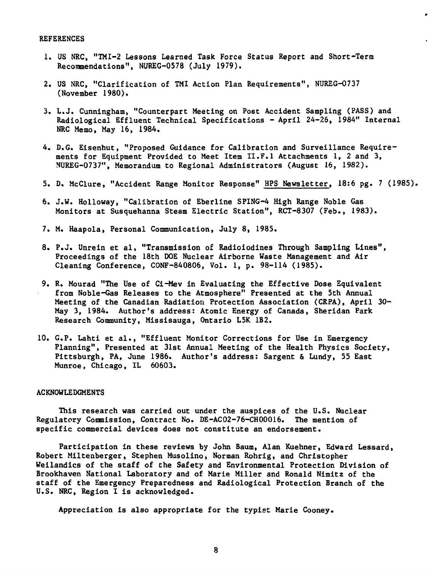### **REFERENCES**

- **1. US NRC, "TMI-2 Lessons Learned Task Force Status Report and Short-Term Recommendations", NUREG-0578 (July 1979).**
- **2. US NRC, "Clarification of TMI Action Plan Requirements", NUREG-0737 (November 1980).**
- **3. L.J. Cunningham, "Counterpart Meeting on Post Accident Sampling (PASS) and Radiological Effluent Technical Specifications - April 24-26, 1984" Internal NRC Memo, May 16, 1984.**
- **4. D.G. Eisenhut, "Proposed Guidance for Calibration and Surveillance Requirements for Equipment Provided to Meet Item II.F.I Attachments 1, 2 and 3, NUREG-0737", Memorandum to Regional Administrators (August 16, 1982).**
- **5. D. McClure, "Accident Range Monitor Response" HPS Newsletter, 18:6 pg. 7 (1985).**
- **6. J.W. Holloway, "Calibration of Eberline SPING-4 High Range Noble Gas Monitors at Susquehanna Steam Electric Station", RCT-8307 (Feb., 1983).**
- **7. M. Haapola, Personal Communication, July 8, 1985.**
- **8. P.J. Unrein et al, "Transmission of Radioiodines Through Sampling Lines", Proceedings of the 18th DOE Nuclear Airborne Waste Management and Air Cleaning Conference, CONF-840806, Vol. 1, p. 98-114 (1985).**
- **9. R. Mourad "The Use of Ci-Mev in Evaluating the Effective Dose Equivalent from Noble-Gas Releases to the Atmosphere" Presented at the 5th Annual Meeting of the Canadian Radiation Protection Association (CRPA), April 30- May 3, 1984. Author's address: Atomic Energy of Canada, Sheridan Park Research Community, Missisauga, Ontario L5K 1B2.**
- **10. G.P. Lahti et al., "Effluent Monitor Corrections for Use in Emergency Planning", Presented at 31st Annual Meeting of the Health Physics Society, Pittsburgh, PA, June 1986. Author's address: Sargent & Lundy, 55 East Munroe, Chicago, IL 60603.**

## **ACKNOWLEDGMENTS**

**This research was carried out under the auspices of the U.S. Nuclear Regulatory Commission, Contract No. DE-AC02-76-CH00016. The mention of specific commercial devices does not constitute an endorsement.**

**Participation in these reviews by John Baum, Alan Kuehner, Edward Lessard, Robert Miltenberger, Stephen Musolino, Norman Rohrig, and Christopher Weilandics of the staff of the Safety and Environmental Protection Division of Brookhaven National Laboratory and of Marie Miller and Ronald Nimitz of the staff of the Emergency Preparedness and Radiological Protection Branch of the U.S. NRC, Region I is acknowledged.**

**Appreciation is also appropriate for the typist Marie Cooney.**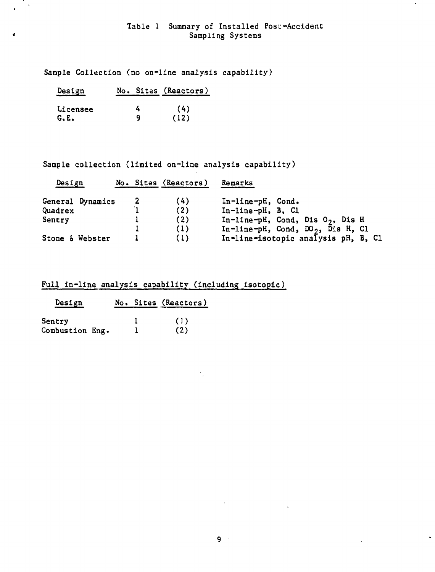# Table 1 Summary of Installed Post-Accident Sampling Systems

 $\overset{\bullet}{\phantom{}_{}}$ 

Sample Collection (no on-line analysis capability)

| Design   |   | No. Sites (Reactors) |  |  |
|----------|---|----------------------|--|--|
| Licensee | 4 | (4)                  |  |  |
| G.E.     | q | (12)                 |  |  |

Sample collection (limited on-line analysis capability)

| Design           |  | No. Sites (Reactors) | Remarks                                      |
|------------------|--|----------------------|----------------------------------------------|
| General Dynamics |  | (4)                  | In-line-pH, Cond.                            |
| Quadrex          |  | (2)                  | $In$ -line-pH, B, Cl                         |
| Sentry           |  | (2)                  | In-line-pH, Cond, Dis $02$ , Dis H           |
|                  |  | (1)                  | In-line-pH, Cond, $D02$ , $\bar{D}$ is H, Cl |
| Stone & Webster  |  | (1)                  | In-line-isotopic analysis pH, B, C1          |

÷,

# Full in-line analysis capability (including isotopic)

| Design          |  | No. Sites (Reactors) |
|-----------------|--|----------------------|
| Sentry          |  | (1)                  |
| Combustion Eng. |  | (2)                  |

 $\hat{\mathbf{v}}$ 

 $\ddot{\phantom{0}}$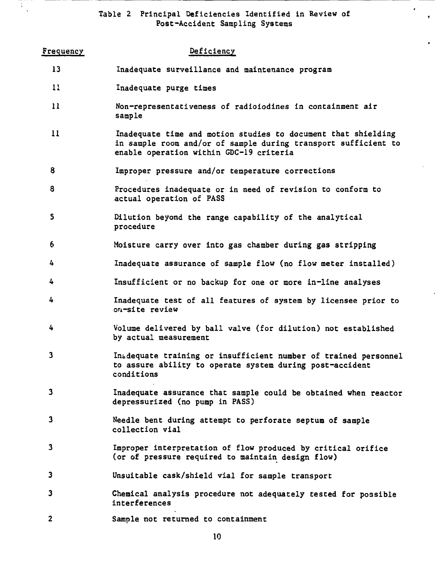**Table 2 Principal Deficiencies Identified in Review of Post-Accident Sampling Systems**

## **Frequency Deficiency**

 $\overline{\mathcal{L}}$ 

- **13 Inadequate surveillance and maintenance program**
- **II Inadequate purge times**
- **11 Non-representativeness of radioiodines in containment air sample**
- **11 Inadequate time and motion studies to document that shielding in sample room and/or of sample during transport sufficient to enable operation within GDC-19 criteria**
- **8 Improper pressure and/or temperature corrections**
- **8 Procedures inadequate or in need of revision to conform to actual operation of PASS**
- **5 Dilution beyond the range capability of the analytical procedure**
- **6 Moisture carry over into gas chamber during gas stripping**
- **4 Inadequate assurance of sample flow (no flow meter installed)**
- **4 Insufficient or no backup for one or more in-line analyses**
- **4 Inadequate test of all features of system by licensee prior to on-site review**
- **4 Volume delivered by ball valve (for dilution) not established by actual measurement**
- **3 Inadequate training or insufficient number of trained personnel to assure ability to operate system during post-accident conditions**
- **3 Inadequate assurance that sample could be obtained when reactor depressurized (no pump in PASS)**
- **3 Needle bent during attempt to perforate septum of sample collection vial**
- **3 Improper interpretation of flow produced by critical orifice** (or of pressure required to maintain design flow)
- Unsuitable cask/shield vial for sample transport 3
- 3 Chemical analysis procedure not adequately tested for possible interferences

**(or of pressure required to maintain design flow)**

 $\overline{2}$ Sample not returned to containment **2 Sample not returned to containment**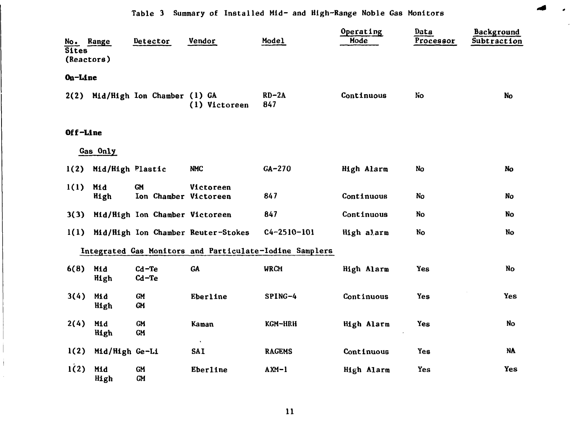Æ

 $\bullet$ 

| No. Range<br><b>Sites</b><br>(Reactors) |                  | Detector                           | Vendor                             | Model                                                   | Operating<br>Mode | Data<br>Processor | Background<br>Subtraction |
|-----------------------------------------|------------------|------------------------------------|------------------------------------|---------------------------------------------------------|-------------------|-------------------|---------------------------|
| On-Line                                 |                  |                                    |                                    |                                                         |                   |                   |                           |
| 2(2)                                    |                  | Mid/High Ion Chamber (1) GA        | (1) Victoreen                      | $RD-2A$<br>847                                          | Continuous        | No.               | No                        |
| Off-Line                                |                  |                                    |                                    |                                                         |                   |                   |                           |
|                                         | Gas Only         |                                    |                                    |                                                         |                   |                   |                           |
| 1(2)                                    | Mid/High Plastic |                                    | <b>NMC</b>                         | $GA-270$                                                | High Alarm        | No                | No                        |
| 1(1)                                    | Mid<br>High      | <b>GM</b><br>Ion Chamber Victoreen | Victoreen                          | 847                                                     | Continuous        | No                | No                        |
| 3(3)                                    |                  | Mid/High Ion Chamber Victoreen     |                                    | 847                                                     | Continuous        | No                | <b>No</b>                 |
| 1(1)                                    |                  |                                    | Mid/High Ion Chamber Reuter-Stokes | $C4 - 2510 - 101$                                       | High alarm        | No                | No                        |
|                                         |                  |                                    |                                    | Integrated Gas Monitors and Particulate-Iodine Samplers |                   |                   |                           |
| 6(8)                                    | Mid<br>High      | $Cd-Te$<br>$Cd-Te$                 | GA                                 | <b>WRCM</b>                                             | High Alarm        | Yes               | No                        |
| 3(4)                                    | Mid<br>High      | <b>GM</b><br><b>GM</b>             | Eberline                           | $SPING-4$                                               | Continuous        | Yes               | Yes                       |
| 2(4)                                    | Mid<br>High      | <b>GM</b><br><b>GM</b>             | Kaman                              | KGM-HRH                                                 | High Alarm        | Yes               | <b>No</b>                 |
| 1(2)                                    | Mid/High Ge-Li   |                                    | SAI                                | <b>RAGEMS</b>                                           | Continuous        | Yes               | <b>NA</b>                 |
| 1(2)                                    | Mid<br>High      | <b>GM</b><br><b>GM</b>             | Eberline                           | $A$ XM $-1$                                             | High Alarm        | Yes               | <b>Yes</b>                |

Ť.  $\sim$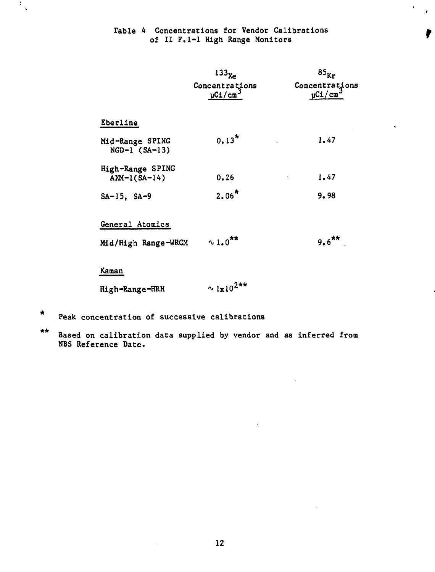# **Table 4 Concentrations for Vendor Calibrations of II F.1-1 High Range Monitors**

 $\bullet$  $\bullet$ 

 $\hat{\mathbf{r}}$ 

|                                    | $133_{Xe}$                         | 85 <sub>Kr</sub>              |
|------------------------------------|------------------------------------|-------------------------------|
|                                    | Concentrations<br>$\mu$ Ci/cm      | Concentrations<br>$\mu$ Ci/cm |
| Eberline                           |                                    |                               |
| Mid-Range SPING<br>$NGD-1$ (SA-13) | $0.13*$                            | 1.47                          |
| High-Range SPING<br>$AXM-1(SA-14)$ | 0.26                               | 1.47                          |
| $SA-15$ , $SA-9$                   | $2.06*$                            | 9.98                          |
| General Atomics                    |                                    |                               |
| Mid/High Range-WRCM                | $\sim 1.0$ **                      | $9.6***$                      |
| Kaman                              |                                    |                               |
| High-Range-HRH                     | $\sim 1 \times 10^{2 \star \star}$ |                               |

 $\star$ **Peak concentration of successive calibrations**

 $\sim 10^{-10}$ 

 $\mathcal{F}_{\mathcal{A}}$ 

 $\star\star$ **Based on calibration data supplied by vendor and as inferred from NBS Reference Date.**

 $\sim 10$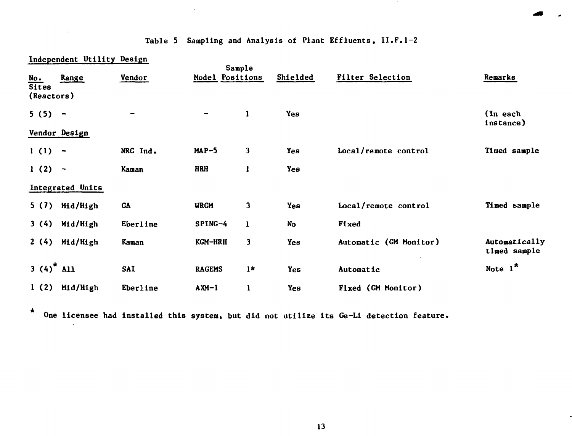# **Table 5 Sampling and Analysis of Plant Effluents, II.F.1-2**

 $\sim$ 

◢

 $\bullet$ 

**Independent Utility Design**

|                            |                          |            | Sample          |              |           |                         |                               |
|----------------------------|--------------------------|------------|-----------------|--------------|-----------|-------------------------|-------------------------------|
| <u>No.</u>                 | Range                    | Vendor     | Model Positions |              | Shielded  | <b>Filter Selection</b> | Remarks                       |
| <b>Sites</b><br>(Reactors) |                          |            |                 |              |           |                         |                               |
| 5(5)                       | $\overline{\phantom{a}}$ |            | -               | $\mathbf{1}$ | Yes       |                         | (In each<br>instance)         |
|                            | Vendor Design            |            |                 |              |           |                         |                               |
| 1(1)                       | $\overline{\phantom{a}}$ | NRC Ind.   | $MAP-5$         | 3            | Yes       | Local/remote control    | Timed sample                  |
| $1(2) -$                   |                          | Kaman      | <b>HRH</b>      | 1            | Yes       |                         |                               |
|                            | Integrated Units         |            |                 |              |           |                         |                               |
| 5(7)                       | Mid/High                 | <b>GA</b>  | <b>WRGM</b>     | 3            | Yes       | Local/remote control    | Timed sample                  |
| 3(4)                       | Mid/High                 | Eberline   | SPING-4         | $\mathbf{1}$ | <b>No</b> | Fixed                   |                               |
| 2(4)                       | Mid/High                 | Kaman      | KGM-HRH         | 3            | Yes       | Automatic (GM Monitor)  | Automatically<br>timed sample |
| 3 $(4)^*$ All              |                          | <b>SAI</b> | <b>RAGEMS</b>   | $1*$         | Yes       | Automatic               | Note $l^*$                    |
| 1(2)                       | Mid/High                 | Eberline   | $AXM-1$         | ı            | Yes       | Fixed (GM Monitor)      |                               |

 $\star$ **One licensee had installed this system, but did not utilize its Ge-Li detection feature.**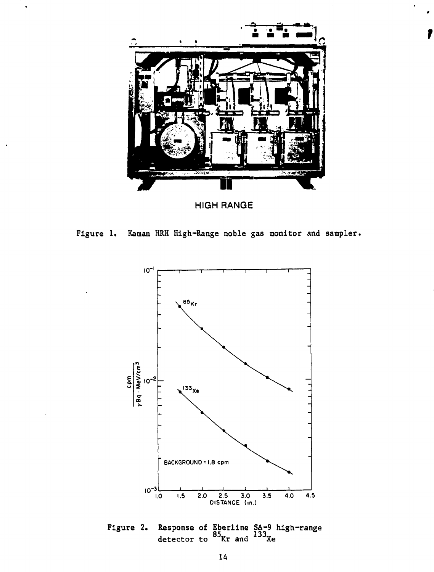

HIGH RANGE





**Figure 2. Response of Eberline SA-9 high-range detector to <sup>85</sup>Kr and <sup>133</sup> Xe**